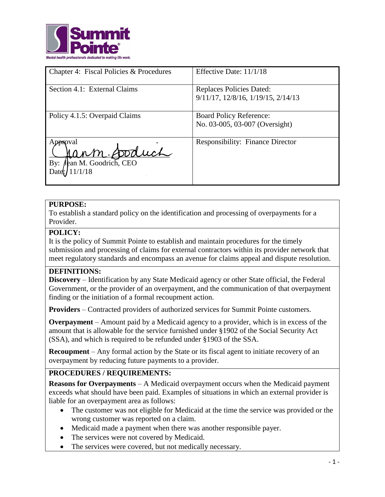

| Chapter 4: Fiscal Policies & Procedures                          | Effective Date: 11/1/18                                          |
|------------------------------------------------------------------|------------------------------------------------------------------|
| Section 4.1: External Claims                                     | Replaces Policies Dated:<br>9/11/17, 12/8/16, 1/19/15, 2/14/13   |
| Policy 4.1.5: Overpaid Claims                                    | <b>Board Policy Reference:</b><br>No. 03-005, 03-007 (Oversight) |
| Approval<br>ann Soduch<br>Jean M. Goodrich, CEO<br>By:<br>1/1/18 | <b>Responsibility: Finance Director</b>                          |

### **PURPOSE:**

To establish a standard policy on the identification and processing of overpayments for a Provider.

#### **POLICY:**

It is the policy of Summit Pointe to establish and maintain procedures for the timely submission and processing of claims for external contractors within its provider network that meet regulatory standards and encompass an avenue for claims appeal and dispute resolution.

#### **DEFINITIONS:**

**Discovery** – Identification by any State Medicaid agency or other State official, the Federal Government, or the provider of an overpayment, and the communication of that overpayment finding or the initiation of a formal recoupment action.

**Providers** – Contracted providers of authorized services for Summit Pointe customers.

**Overpayment** – Amount paid by a Medicaid agency to a provider, which is in excess of the amount that is allowable for the service furnished under §1902 of the Social Security Act (SSA), and which is required to be refunded under §1903 of the SSA.

**Recoupment** – Any formal action by the State or its fiscal agent to initiate recovery of an overpayment by reducing future payments to a provider.

## **PROCEDURES / REQUIREMENTS:**

**Reasons for Overpayments** – A Medicaid overpayment occurs when the Medicaid payment exceeds what should have been paid. Examples of situations in which an external provider is liable for an overpayment area as follows:

- The customer was not eligible for Medicaid at the time the service was provided or the wrong customer was reported on a claim.
- Medicaid made a payment when there was another responsible payer.
- The services were not covered by Medicaid.
- The services were covered, but not medically necessary.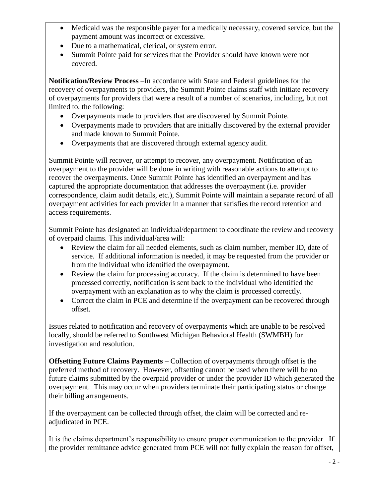- Medicaid was the responsible payer for a medically necessary, covered service, but the payment amount was incorrect or excessive.
- Due to a mathematical, clerical, or system error.
- Summit Pointe paid for services that the Provider should have known were not covered.

**Notification/Review Process** –In accordance with State and Federal guidelines for the recovery of overpayments to providers, the Summit Pointe claims staff with initiate recovery of overpayments for providers that were a result of a number of scenarios, including, but not limited to, the following:

- Overpayments made to providers that are discovered by Summit Pointe.
- Overpayments made to providers that are initially discovered by the external provider and made known to Summit Pointe.
- Overpayments that are discovered through external agency audit.

Summit Pointe will recover, or attempt to recover, any overpayment. Notification of an overpayment to the provider will be done in writing with reasonable actions to attempt to recover the overpayments. Once Summit Pointe has identified an overpayment and has captured the appropriate documentation that addresses the overpayment (i.e. provider correspondence, claim audit details, etc.), Summit Pointe will maintain a separate record of all overpayment activities for each provider in a manner that satisfies the record retention and access requirements.

Summit Pointe has designated an individual/department to coordinate the review and recovery of overpaid claims. This individual/area will:

- Review the claim for all needed elements, such as claim number, member ID, date of service. If additional information is needed, it may be requested from the provider or from the individual who identified the overpayment.
- Review the claim for processing accuracy. If the claim is determined to have been processed correctly, notification is sent back to the individual who identified the overpayment with an explanation as to why the claim is processed correctly.
- Correct the claim in PCE and determine if the overpayment can be recovered through offset.

Issues related to notification and recovery of overpayments which are unable to be resolved locally, should be referred to Southwest Michigan Behavioral Health (SWMBH) for investigation and resolution.

**Offsetting Future Claims Payments** – Collection of overpayments through offset is the preferred method of recovery. However, offsetting cannot be used when there will be no future claims submitted by the overpaid provider or under the provider ID which generated the overpayment. This may occur when providers terminate their participating status or change their billing arrangements.

If the overpayment can be collected through offset, the claim will be corrected and readjudicated in PCE.

It is the claims department's responsibility to ensure proper communication to the provider. If the provider remittance advice generated from PCE will not fully explain the reason for offset,